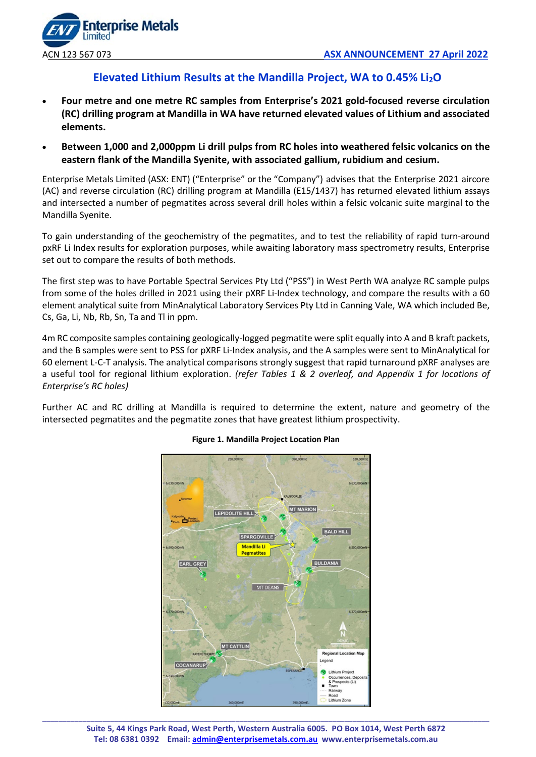

# **Elevated Lithium Results at the Mandilla Project, WA to 0.45% Li2O**

- **Four metre and one metre RC samples from Enterprise's 2021 gold-focused reverse circulation (RC) drilling program at Mandilla in WA have returned elevated values of Lithium and associated elements.**
- **Between 1,000 and 2,000ppm Li drill pulps from RC holes into weathered felsic volcanics on the eastern flank of the Mandilla Syenite, with associated gallium, rubidium and cesium.**

Enterprise Metals Limited (ASX: ENT) ("Enterprise" or the "Company") advises that the Enterprise 2021 aircore (AC) and reverse circulation (RC) drilling program at Mandilla (E15/1437) has returned elevated lithium assays and intersected a number of pegmatites across several drill holes within a felsic volcanic suite marginal to the Mandilla Syenite.

To gain understanding of the geochemistry of the pegmatites, and to test the reliability of rapid turn-around pxRF Li Index results for exploration purposes, while awaiting laboratory mass spectrometry results, Enterprise set out to compare the results of both methods.

The first step was to have Portable Spectral Services Pty Ltd ("PSS") in West Perth WA analyze RC sample pulps from some of the holes drilled in 2021 using their pXRF Li-Index technology, and compare the results with a 60 element analytical suite from MinAnalytical Laboratory Services Pty Ltd in Canning Vale, WA which included Be, Cs, Ga, Li, Nb, Rb, Sn, Ta and Tl in ppm.

4m RC composite samples containing geologically-logged pegmatite were split equally into A and B kraft packets, and the B samples were sent to PSS for pXRF Li-Index analysis, and the A samples were sent to MinAnalytical for 60 element L-C-T analysis. The analytical comparisons strongly suggest that rapid turnaround pXRF analyses are a useful tool for regional lithium exploration. *(refer Tables 1 & 2 overleaf, and Appendix 1 for locations of Enterprise's RC holes)*

Further AC and RC drilling at Mandilla is required to determine the extent, nature and geometry of the intersected pegmatites and the pegmatite zones that have greatest lithium prospectivity.



# **Figure 1. Mandilla Project Location Plan**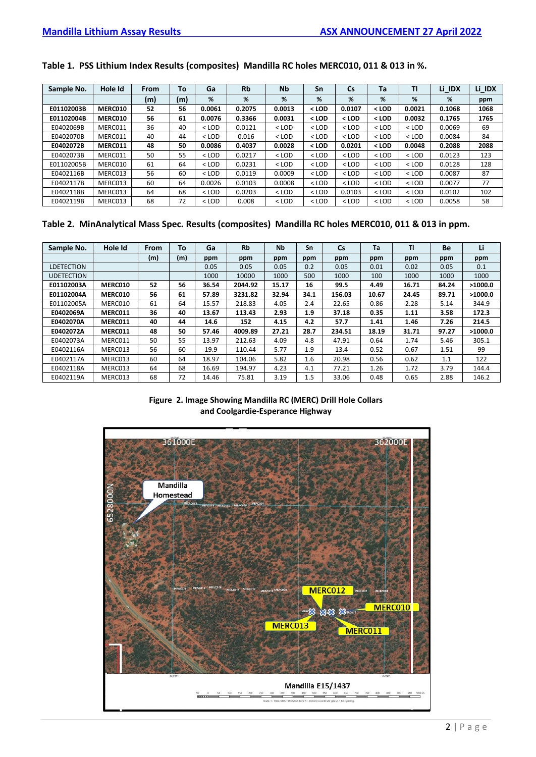# **Table 1. PSS Lithium Index Results (composites) Mandilla RC holes MERC010, 011 & 013 in %.**

| Sample No. | Hole Id | From | To  | Ga      | <b>Rb</b> | <b>Nb</b> | Sn      | $\mathsf{Cs}$ | Ta      | ΤI      | Li IDX | Li IDX |
|------------|---------|------|-----|---------|-----------|-----------|---------|---------------|---------|---------|--------|--------|
|            |         | (m)  | (m) | %       | %         | %         | %       | %             | %       | %       | %      | ppm    |
| E01102003B | MERC010 | 52   | 56  | 0.0061  | 0.2075    | 0.0013    | < LOD   | 0.0107        | $<$ LOD | 0.0021  | 0.1068 | 1068   |
| E01102004B | MERC010 | 56   | 61  | 0.0076  | 0.3366    | 0.0031    | < LOD   | < LOD         | $<$ LOD | 0.0032  | 0.1765 | 1765   |
| E0402069B  | MERC011 | 36   | 40  | $<$ LOD | 0.0121    | $<$ LOD   | $<$ LOD | $<$ LOD       | $<$ LOD | $<$ LOD | 0.0069 | 69     |
| E0402070B  | MERC011 | 40   | 44  | $<$ LOD | 0.016     | $<$ LOD   | $<$ LOD | $<$ LOD       | $<$ LOD | $<$ LOD | 0.0084 | 84     |
| E0402072B  | MERC011 | 48   | 50  | 0.0086  | 0.4037    | 0.0028    | < LOD   | 0.0201        | $<$ LOD | 0.0048  | 0.2088 | 2088   |
| E0402073B  | MERC011 | 50   | 55  | $<$ LOD | 0.0217    | $<$ LOD   | $<$ LOD | $<$ LOD       | $<$ LOD | $<$ LOD | 0.0123 | 123    |
| E01102005B | MERC010 | 61   | 64  | $<$ LOD | 0.0231    | $<$ LOD   | $<$ LOD | $<$ LOD       | $<$ LOD | $<$ LOD | 0.0128 | 128    |
| E0402116B  | MERC013 | 56   | 60  | $<$ LOD | 0.0119    | 0.0009    | $<$ LOD | $<$ LOD       | $<$ LOD | $<$ LOD | 0.0087 | 87     |
| E0402117B  | MERC013 | 60   | 64  | 0.0026  | 0.0103    | 0.0008    | $<$ LOD | $<$ LOD       | $<$ LOD | $<$ LOD | 0.0077 | 77     |
| E0402118B  | MERC013 | 64   | 68  | $<$ LOD | 0.0203    | $<$ LOD   | $<$ LOD | 0.0103        | $<$ LOD | $<$ LOD | 0.0102 | 102    |
| E0402119B  | MERC013 | 68   | 72  | $<$ LOD | 0.008     | $<$ LOD   | $<$ LOD | $<$ LOD       | $<$ LOD | $<$ LOD | 0.0058 | 58     |

# **Table 2. MinAnalytical Mass Spec. Results (composites) Mandilla RC holes MERC010, 011 & 013 in ppm.**

| Sample No.        | Hole Id | From | To  | Ga    | <b>Rb</b> | <b>Nb</b> | Sn   | <b>Cs</b> | Ta    | <b>TI</b> | Be    | Li      |
|-------------------|---------|------|-----|-------|-----------|-----------|------|-----------|-------|-----------|-------|---------|
|                   |         | (m)  | (m) | ppm   | ppm       | ppm       | ppm  | ppm       | ppm   | ppm       | ppm   | ppm     |
| <b>LDETECTION</b> |         |      |     | 0.05  | 0.05      | 0.05      | 0.2  | 0.05      | 0.01  | 0.02      | 0.05  | 0.1     |
| <b>UDETECTION</b> |         |      |     | 1000  | 10000     | 1000      | 500  | 1000      | 100   | 1000      | 1000  | 1000    |
| E01102003A        | MERC010 | 52   | 56  | 36.54 | 2044.92   | 15.17     | 16   | 99.5      | 4.49  | 16.71     | 84.24 | >1000.0 |
| E01102004A        | MERC010 | 56   | 61  | 57.89 | 3231.82   | 32.94     | 34.1 | 156.03    | 10.67 | 24.45     | 89.71 | >1000.0 |
| E01102005A        | MERC010 | 61   | 64  | 15.57 | 218.83    | 4.05      | 2.4  | 22.65     | 0.86  | 2.28      | 5.14  | 344.9   |
| E0402069A         | MERC011 | 36   | 40  | 13.67 | 113.43    | 2.93      | 1.9  | 37.18     | 0.35  | 1.11      | 3.58  | 172.3   |
| E0402070A         | MERC011 | 40   | 44  | 14.6  | 152       | 4.15      | 4.2  | 57.7      | 1.41  | 1.46      | 7.26  | 214.5   |
| E0402072A         | MERC011 | 48   | 50  | 57.46 | 4009.89   | 27.21     | 28.7 | 234.51    | 18.19 | 31.71     | 97.27 | >1000.0 |
| E0402073A         | MERC011 | 50   | 55  | 13.97 | 212.63    | 4.09      | 4.8  | 47.91     | 0.64  | 1.74      | 5.46  | 305.1   |
| E0402116A         | MERC013 | 56   | 60  | 19.9  | 110.44    | 5.77      | 1.9  | 13.4      | 0.52  | 0.67      | 1.51  | 99      |
| E0402117A         | MERC013 | 60   | 64  | 18.97 | 104.06    | 5.82      | 1.6  | 20.98     | 0.56  | 0.62      | 1.1   | 122     |
| E0402118A         | MERC013 | 64   | 68  | 16.69 | 194.97    | 4.23      | 4.1  | 77.21     | 1.26  | 1.72      | 3.79  | 144.4   |
| E0402119A         | MERC013 | 68   | 72  | 14.46 | 75.81     | 3.19      | 1.5  | 33.06     | 0.48  | 0.65      | 2.88  | 146.2   |

## **Figure 2. Image Showing Mandilla RC (MERC) Drill Hole Collars and Coolgardie-Esperance Highway**

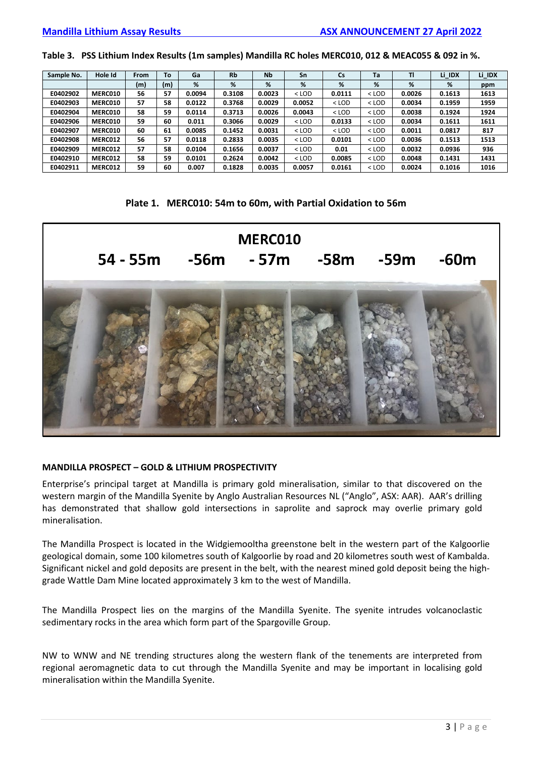**Table 3. PSS Lithium Index Results (1m samples) Mandilla RC holes MERC010, 012 & MEAC055 & 092 in %.**

| Sample No. | Hole Id | From | To  | Ga     | <b>Rb</b> | <b>Nb</b> | Sn      | Cs      | Ta      | TI     | Li IDX | Li_IDX |
|------------|---------|------|-----|--------|-----------|-----------|---------|---------|---------|--------|--------|--------|
|            |         | (m)  | (m) | %      | %         | %         | %       | %       | %       | %      | %      | ppm    |
| E0402902   | MERC010 | 56   | 57  | 0.0094 | 0.3108    | 0.0023    | $<$ LOD | 0.0111  | $<$ LOD | 0.0026 | 0.1613 | 1613   |
| E0402903   | MERC010 | 57   | 58  | 0.0122 | 0.3768    | 0.0029    | 0.0052  | $<$ LOD | $<$ LOD | 0.0034 | 0.1959 | 1959   |
| E0402904   | MERC010 | 58   | 59  | 0.0114 | 0.3713    | 0.0026    | 0.0043  | $<$ LOD | $<$ LOD | 0.0038 | 0.1924 | 1924   |
| E0402906   | MERC010 | 59   | 60  | 0.011  | 0.3066    | 0.0029    | $<$ LOD | 0.0133  | $<$ LOD | 0.0034 | 0.1611 | 1611   |
| E0402907   | MERC010 | 60   | 61  | 0.0085 | 0.1452    | 0.0031    | $<$ LOD | $<$ LOD | $<$ LOD | 0.0011 | 0.0817 | 817    |
| E0402908   | MERC012 | 56   | 57  | 0.0118 | 0.2833    | 0.0035    | $<$ LOD | 0.0101  | $<$ LOD | 0.0036 | 0.1513 | 1513   |
| E0402909   | MERC012 | 57   | 58  | 0.0104 | 0.1656    | 0.0037    | $<$ LOD | 0.01    | $<$ LOD | 0.0032 | 0.0936 | 936    |
| E0402910   | MERC012 | 58   | 59  | 0.0101 | 0.2624    | 0.0042    | $<$ LOD | 0.0085  | $<$ LOD | 0.0048 | 0.1431 | 1431   |
| E0402911   | MERC012 | 59   | 60  | 0.007  | 0.1828    | 0.0035    | 0.0057  | 0.0161  | $<$ LOD | 0.0024 | 0.1016 | 1016   |

#### **Plate 1. MERC010: 54m to 60m, with Partial Oxidation to 56m**



### **MANDILLA PROSPECT – GOLD & LITHIUM PROSPECTIVITY**

Enterprise's principal target at Mandilla is primary gold mineralisation, similar to that discovered on the western margin of the Mandilla Syenite by Anglo Australian Resources NL ("Anglo", ASX: AAR). AAR's drilling has demonstrated that shallow gold intersections in saprolite and saprock may overlie primary gold mineralisation.

The Mandilla Prospect is located in the Widgiemooltha greenstone belt in the western part of the Kalgoorlie geological domain, some 100 kilometres south of Kalgoorlie by road and 20 kilometres south west of Kambalda. Significant nickel and gold deposits are present in the belt, with the nearest mined gold deposit being the highgrade Wattle Dam Mine located approximately 3 km to the west of Mandilla.

The Mandilla Prospect lies on the margins of the Mandilla Syenite. The syenite intrudes volcanoclastic sedimentary rocks in the area which form part of the Spargoville Group.

NW to WNW and NE trending structures along the western flank of the tenements are interpreted from regional aeromagnetic data to cut through the Mandilla Syenite and may be important in localising gold mineralisation within the Mandilla Syenite.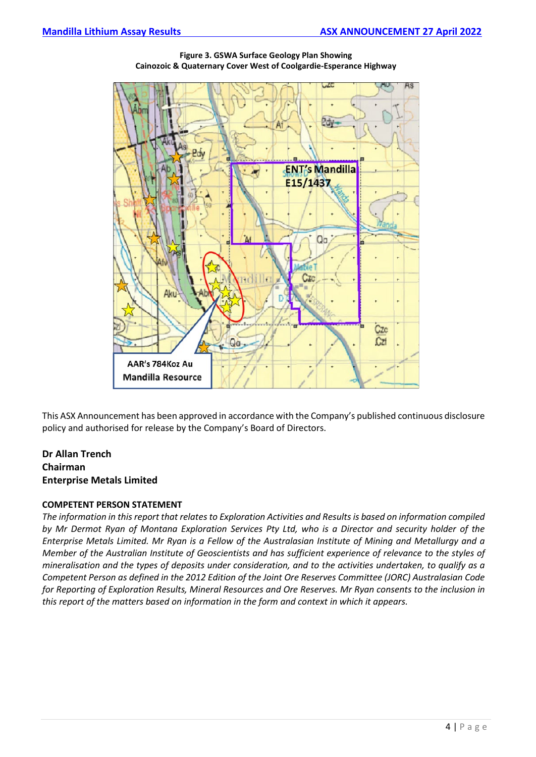

**Figure 3. GSWA Surface Geology Plan Showing Cainozoic & Quaternary Cover West of Coolgardie-Esperance Highway**

This ASX Announcement has been approved in accordance with the Company's published continuous disclosure policy and authorised for release by the Company's Board of Directors.

# **Dr Allan Trench Chairman Enterprise Metals Limited**

### **COMPETENT PERSON STATEMENT**

*The information in this report that relates to Exploration Activities and Results is based on information compiled by Mr Dermot Ryan of Montana Exploration Services Pty Ltd, who is a Director and security holder of the Enterprise Metals Limited. Mr Ryan is a Fellow of the Australasian Institute of Mining and Metallurgy and a Member of the Australian Institute of Geoscientists and has sufficient experience of relevance to the styles of mineralisation and the types of deposits under consideration, and to the activities undertaken, to qualify as a Competent Person as defined in the 2012 Edition of the Joint Ore Reserves Committee (JORC) Australasian Code for Reporting of Exploration Results, Mineral Resources and Ore Reserves. Mr Ryan consents to the inclusion in this report of the matters based on information in the form and context in which it appears.*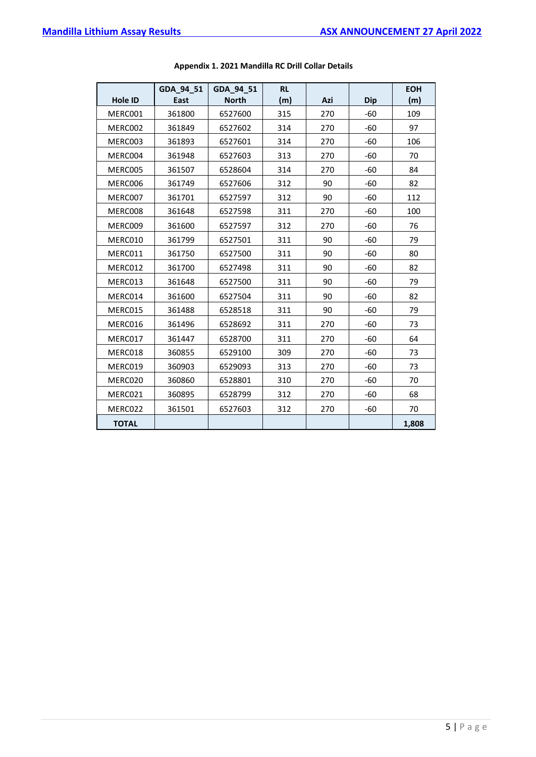|                | GDA_94_51 | GDA_94_51    | <b>RL</b> |     |            | <b>EOH</b> |
|----------------|-----------|--------------|-----------|-----|------------|------------|
| <b>Hole ID</b> | East      | <b>North</b> | (m)       | Azi | <b>Dip</b> | (m)        |
| MERC001        | 361800    | 6527600      | 315       | 270 | -60        | 109        |
| MERC002        | 361849    | 6527602      | 314       | 270 | $-60$      | 97         |
| MERC003        | 361893    | 6527601      | 314       | 270 | $-60$      | 106        |
| MERC004        | 361948    | 6527603      | 313       | 270 | $-60$      | 70         |
| MERC005        | 361507    | 6528604      | 314       | 270 | $-60$      | 84         |
| MERC006        | 361749    | 6527606      | 312       | 90  | $-60$      | 82         |
| MERC007        | 361701    | 6527597      | 312       | 90  | -60        | 112        |
| MERC008        | 361648    | 6527598      | 311       | 270 | $-60$      | 100        |
| MERC009        | 361600    | 6527597      | 312       | 270 | -60        | 76         |
| MERC010        | 361799    | 6527501      | 311       | 90  | $-60$      | 79         |
| MERC011        | 361750    | 6527500      | 311       | 90  | $-60$      | 80         |
| MERC012        | 361700    | 6527498      | 311       | 90  | $-60$      | 82         |
| MERC013        | 361648    | 6527500      | 311       | 90  | -60        | 79         |
| MERC014        | 361600    | 6527504      | 311       | 90  | $-60$      | 82         |
| MERC015        | 361488    | 6528518      | 311       | 90  | -60        | 79         |
| MERC016        | 361496    | 6528692      | 311       | 270 | $-60$      | 73         |
| MERC017        | 361447    | 6528700      | 311       | 270 | -60        | 64         |
| MERC018        | 360855    | 6529100      | 309       | 270 | $-60$      | 73         |
| MERC019        | 360903    | 6529093      | 313       | 270 | $-60$      | 73         |
| MERC020        | 360860    | 6528801      | 310       | 270 | -60        | 70         |
| MERC021        | 360895    | 6528799      | 312       | 270 | $-60$      | 68         |
| MERC022        | 361501    | 6527603      | 312       | 270 | -60        | 70         |
| <b>TOTAL</b>   |           |              |           |     |            | 1,808      |

## **Appendix 1. 2021 Mandilla RC Drill Collar Details**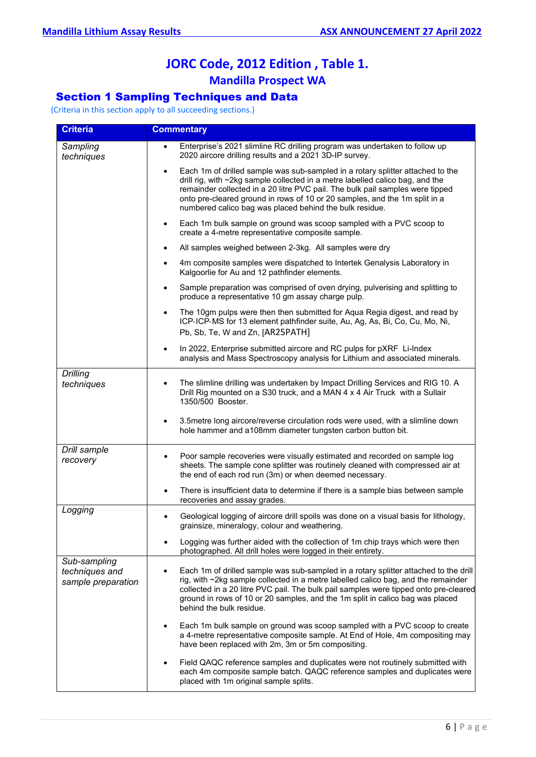# **JORC Code, 2012 Edition , Table 1. Mandilla Prospect WA**

# Section 1 Sampling Techniques and Data

(Criteria in this section apply to all succeeding sections.)

| <b>Criteria</b>                                      | <b>Commentary</b>                                                                                                                                                                                                                                                                                                                                                                                      |
|------------------------------------------------------|--------------------------------------------------------------------------------------------------------------------------------------------------------------------------------------------------------------------------------------------------------------------------------------------------------------------------------------------------------------------------------------------------------|
| Sampling<br>techniques                               | Enterprise's 2021 slimline RC drilling program was undertaken to follow up<br>$\bullet$<br>2020 aircore drilling results and a 2021 3D-IP survey.                                                                                                                                                                                                                                                      |
|                                                      | Each 1m of drilled sample was sub-sampled in a rotary splitter attached to the<br>$\bullet$<br>drill rig, with ~2kg sample collected in a metre labelled calico bag, and the<br>remainder collected in a 20 litre PVC pail. The bulk pail samples were tipped<br>onto pre-cleared ground in rows of 10 or 20 samples, and the 1m split in a<br>numbered calico bag was placed behind the bulk residue. |
|                                                      | Each 1m bulk sample on ground was scoop sampled with a PVC scoop to<br>$\bullet$<br>create a 4-metre representative composite sample.                                                                                                                                                                                                                                                                  |
|                                                      | All samples weighed between 2-3kg. All samples were dry<br>$\bullet$                                                                                                                                                                                                                                                                                                                                   |
|                                                      | 4m composite samples were dispatched to Intertek Genalysis Laboratory in<br>Kalgoorlie for Au and 12 pathfinder elements.                                                                                                                                                                                                                                                                              |
|                                                      | Sample preparation was comprised of oven drying, pulverising and splitting to<br>$\bullet$<br>produce a representative 10 gm assay charge pulp.                                                                                                                                                                                                                                                        |
|                                                      | The 10gm pulps were then then submitted for Aqua Regia digest, and read by<br>$\bullet$<br>ICP-ICP-MS for 13 element pathfinder suite, Au, Ag, As, Bi, Co, Cu, Mo, Ni,<br>Pb, Sb, Te, W and Zn, [AR25PATH]                                                                                                                                                                                             |
|                                                      | In 2022, Enterprise submitted aircore and RC pulps for pXRF Li-Index<br>$\bullet$<br>analysis and Mass Spectroscopy analysis for Lithium and associated minerals.                                                                                                                                                                                                                                      |
| <b>Drilling</b><br>techniques                        | The slimline drilling was undertaken by Impact Drilling Services and RIG 10. A<br>$\bullet$<br>Drill Rig mounted on a S30 truck, and a MAN 4 x 4 Air Truck with a Sullair<br>1350/500 Booster.                                                                                                                                                                                                         |
|                                                      | 3.5 metre long aircore/reverse circulation rods were used, with a slimline down<br>$\bullet$<br>hole hammer and a108mm diameter tungsten carbon button bit.                                                                                                                                                                                                                                            |
| Drill sample<br>recovery                             | Poor sample recoveries were visually estimated and recorded on sample log<br>$\bullet$<br>sheets. The sample cone splitter was routinely cleaned with compressed air at<br>the end of each rod run (3m) or when deemed necessary.                                                                                                                                                                      |
|                                                      | There is insufficient data to determine if there is a sample bias between sample<br>$\bullet$<br>recoveries and assay grades.                                                                                                                                                                                                                                                                          |
| Logging                                              | Geological logging of aircore drill spoils was done on a visual basis for lithology,<br>$\bullet$<br>grainsize, mineralogy, colour and weathering.                                                                                                                                                                                                                                                     |
|                                                      | Logging was further aided with the collection of 1m chip trays which were then<br>photographed. All drill holes were logged in their entirety.                                                                                                                                                                                                                                                         |
| Sub-sampling<br>techniques and<br>sample preparation | Each 1m of drilled sample was sub-sampled in a rotary splitter attached to the drill<br>rig, with ~2kg sample collected in a metre labelled calico bag, and the remainder<br>collected in a 20 litre PVC pail. The bulk pail samples were tipped onto pre-cleared<br>ground in rows of 10 or 20 samples, and the 1m split in calico bag was placed<br>behind the bulk residue.                         |
|                                                      | Each 1m bulk sample on ground was scoop sampled with a PVC scoop to create<br>$\bullet$<br>a 4-metre representative composite sample. At End of Hole, 4m compositing may<br>have been replaced with 2m, 3m or 5m compositing.                                                                                                                                                                          |
|                                                      | Field QAQC reference samples and duplicates were not routinely submitted with<br>$\bullet$<br>each 4m composite sample batch. QAQC reference samples and duplicates were<br>placed with 1m original sample splits.                                                                                                                                                                                     |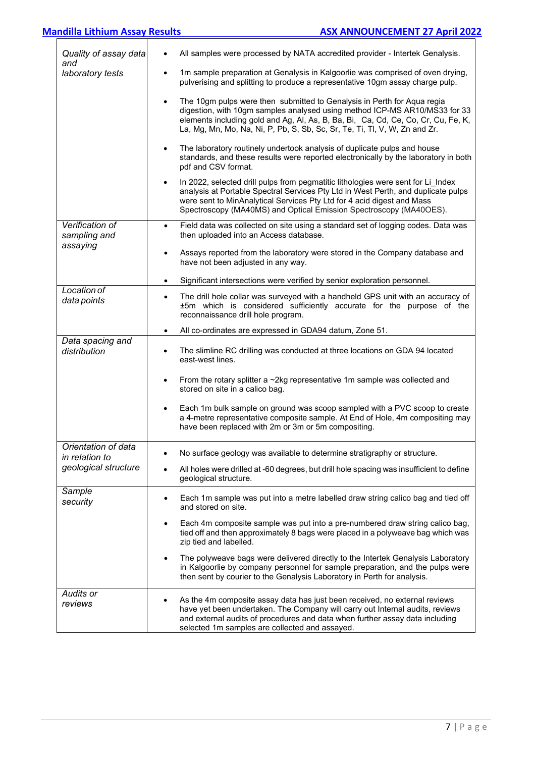| Quality of assay data<br>and          | All samples were processed by NATA accredited provider - Intertek Genalysis.                                                                                                                                                                                                                                                          |
|---------------------------------------|---------------------------------------------------------------------------------------------------------------------------------------------------------------------------------------------------------------------------------------------------------------------------------------------------------------------------------------|
| laboratory tests                      | 1m sample preparation at Genalysis in Kalgoorlie was comprised of oven drying,<br>$\bullet$<br>pulverising and splitting to produce a representative 10gm assay charge pulp.                                                                                                                                                          |
|                                       | The 10gm pulps were then submitted to Genalysis in Perth for Aqua regia<br>$\bullet$<br>digestion, with 10gm samples analysed using method ICP-MS AR10/MS33 for 33<br>elements including gold and Ag, Al, As, B, Ba, Bi, Ca, Cd, Ce, Co, Cr, Cu, Fe, K,<br>La, Mg, Mn, Mo, Na, Ni, P, Pb, S, Sb, Sc, Sr, Te, Ti, Tl, V, W, Zn and Zr. |
|                                       | The laboratory routinely undertook analysis of duplicate pulps and house<br>$\bullet$<br>standards, and these results were reported electronically by the laboratory in both<br>pdf and CSV format.                                                                                                                                   |
|                                       | In 2022, selected drill pulps from pegmatitic lithologies were sent for Li Index<br>$\bullet$<br>analysis at Portable Spectral Services Pty Ltd in West Perth, and duplicate pulps<br>were sent to MinAnalytical Services Pty Ltd for 4 acid digest and Mass<br>Spectroscopy (MA40MS) and Optical Emission Spectroscopy (MA40OES).    |
| Verification of<br>sampling and       | Field data was collected on site using a standard set of logging codes. Data was<br>$\bullet$<br>then uploaded into an Access database.                                                                                                                                                                                               |
| assaying                              | Assays reported from the laboratory were stored in the Company database and<br>$\bullet$<br>have not been adjusted in any way.                                                                                                                                                                                                        |
|                                       | Significant intersections were verified by senior exploration personnel.<br>$\bullet$                                                                                                                                                                                                                                                 |
| Location of<br>data points            | The drill hole collar was surveyed with a handheld GPS unit with an accuracy of<br>$\bullet$<br>±5m which is considered sufficiently accurate for the purpose of the<br>reconnaissance drill hole program.                                                                                                                            |
|                                       | All co-ordinates are expressed in GDA94 datum, Zone 51.<br>$\bullet$                                                                                                                                                                                                                                                                  |
| Data spacing and<br>distribution      | The slimline RC drilling was conducted at three locations on GDA 94 located<br>$\bullet$<br>east-west lines.                                                                                                                                                                                                                          |
|                                       | From the rotary splitter a $\sim$ 2kg representative 1m sample was collected and<br>$\bullet$<br>stored on site in a calico bag.                                                                                                                                                                                                      |
|                                       | Each 1m bulk sample on ground was scoop sampled with a PVC scoop to create<br>a 4-metre representative composite sample. At End of Hole, 4m compositing may<br>have been replaced with 2m or 3m or 5m compositing.                                                                                                                    |
| Orientation of data<br>in relation to | No surface geology was available to determine stratigraphy or structure.                                                                                                                                                                                                                                                              |
| geological structure                  | All holes were drilled at -60 degrees, but drill hole spacing was insufficient to define<br>geological structure.                                                                                                                                                                                                                     |
| Sample<br>security                    | Each 1m sample was put into a metre labelled draw string calico bag and tied off<br>$\bullet$<br>and stored on site.                                                                                                                                                                                                                  |
|                                       | Each 4m composite sample was put into a pre-numbered draw string calico bag,<br>tied off and then approximately 8 bags were placed in a polyweave bag which was<br>zip tied and labelled.                                                                                                                                             |
|                                       | The polyweave bags were delivered directly to the Intertek Genalysis Laboratory<br>$\bullet$<br>in Kalgoorlie by company personnel for sample preparation, and the pulps were<br>then sent by courier to the Genalysis Laboratory in Perth for analysis.                                                                              |
| Audits or<br>reviews                  | As the 4m composite assay data has just been received, no external reviews<br>have yet been undertaken. The Company will carry out Internal audits, reviews<br>and external audits of procedures and data when further assay data including<br>selected 1m samples are collected and assayed.                                         |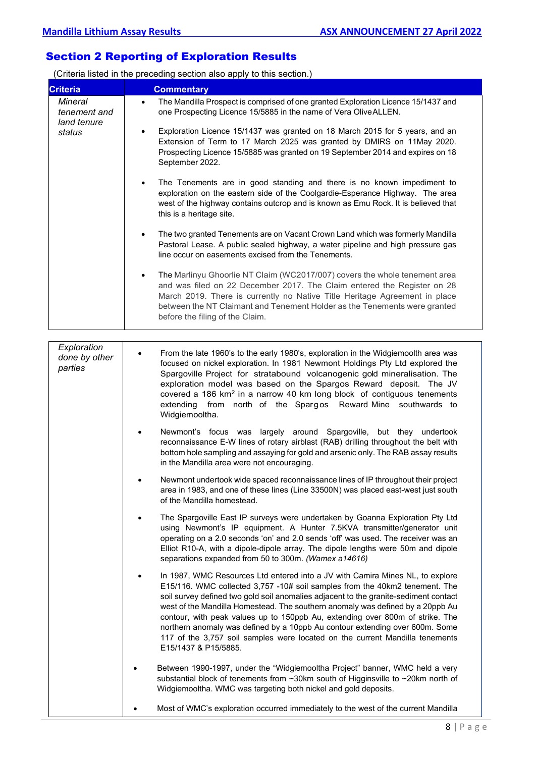# Section 2 Reporting of Exploration Results

(Criteria listed in the preceding section also apply to this section.)

| <b>Criteria</b>                         | <b>Commentary</b>                                                                                                                                                                                                                                                                                                                                                                                                                                                                                                                                                                                               |
|-----------------------------------------|-----------------------------------------------------------------------------------------------------------------------------------------------------------------------------------------------------------------------------------------------------------------------------------------------------------------------------------------------------------------------------------------------------------------------------------------------------------------------------------------------------------------------------------------------------------------------------------------------------------------|
| Mineral<br>tenement and<br>land tenure  | The Mandilla Prospect is comprised of one granted Exploration Licence 15/1437 and<br>$\bullet$<br>one Prospecting Licence 15/5885 in the name of Vera Olive ALLEN.                                                                                                                                                                                                                                                                                                                                                                                                                                              |
| status                                  | Exploration Licence 15/1437 was granted on 18 March 2015 for 5 years, and an<br>$\bullet$<br>Extension of Term to 17 March 2025 was granted by DMIRS on 11May 2020.<br>Prospecting Licence 15/5885 was granted on 19 September 2014 and expires on 18<br>September 2022.                                                                                                                                                                                                                                                                                                                                        |
|                                         | The Tenements are in good standing and there is no known impediment to<br>$\bullet$<br>exploration on the eastern side of the Coolgardie-Esperance Highway. The area<br>west of the highway contains outcrop and is known as Emu Rock. It is believed that<br>this is a heritage site.                                                                                                                                                                                                                                                                                                                          |
|                                         | The two granted Tenements are on Vacant Crown Land which was formerly Mandilla<br>$\bullet$<br>Pastoral Lease. A public sealed highway, a water pipeline and high pressure gas<br>line occur on easements excised from the Tenements.                                                                                                                                                                                                                                                                                                                                                                           |
|                                         | The Marlinyu Ghoorlie NT Claim (WC2017/007) covers the whole tenement area<br>$\bullet$<br>and was filed on 22 December 2017. The Claim entered the Register on 28<br>March 2019. There is currently no Native Title Heritage Agreement in place<br>between the NT Claimant and Tenement Holder as the Tenements were granted<br>before the filing of the Claim.                                                                                                                                                                                                                                                |
|                                         |                                                                                                                                                                                                                                                                                                                                                                                                                                                                                                                                                                                                                 |
| Exploration<br>done by other<br>parties | From the late 1960's to the early 1980's, exploration in the Widgiemoolth area was<br>focused on nickel exploration. In 1981 Newmont Holdings Pty Ltd explored the<br>Spargoville Project for stratabound volcanogenic gold mineralisation. The<br>exploration model was based on the Spargos Reward deposit. The JV<br>covered a 186 km <sup>2</sup> in a narrow 40 km long block of contiguous tenements<br>extending from north of the Spargos Reward-Mine southwards to<br>Widgiemooltha.                                                                                                                   |
|                                         | Newmont's focus was largely around Spargoville, but they undertook<br>$\bullet$<br>reconnaissance E-W lines of rotary airblast (RAB) drilling throughout the belt with<br>bottom hole sampling and assaying for gold and arsenic only. The RAB assay results<br>in the Mandilla area were not encouraging.                                                                                                                                                                                                                                                                                                      |
|                                         | Newmont undertook wide spaced reconnaissance lines of IP throughout their project<br>area in 1983, and one of these lines (Line 33500N) was placed east-west just south<br>of the Mandilla homestead.                                                                                                                                                                                                                                                                                                                                                                                                           |
|                                         | The Spargoville East IP surveys were undertaken by Goanna Exploration Pty Ltd<br>using Newmont's IP equipment. A Hunter 7.5KVA transmitter/generator unit<br>operating on a 2.0 seconds 'on' and 2.0 sends 'off' was used. The receiver was an<br>Elliot R10-A, with a dipole-dipole array. The dipole lengths were 50m and dipole<br>separations expanded from 50 to 300m. (Wamex a14616)                                                                                                                                                                                                                      |
|                                         | In 1987, WMC Resources Ltd entered into a JV with Camira Mines NL, to explore<br>E15/116. WMC collected 3,757 -10# soil samples from the 40km2 tenement. The<br>soil survey defined two gold soil anomalies adjacent to the granite-sediment contact<br>west of the Mandilla Homestead. The southern anomaly was defined by a 20ppb Au<br>contour, with peak values up to 150ppb Au, extending over 800m of strike. The<br>northern anomaly was defined by a 10ppb Au contour extending over 600m. Some<br>117 of the 3,757 soil samples were located on the current Mandilla tenements<br>E15/1437 & P15/5885. |
|                                         | Between 1990-1997, under the "Widgiemooltha Project" banner, WMC held a very<br>substantial block of tenements from ~30km south of Higginsville to ~20km north of<br>Widgiemooltha. WMC was targeting both nickel and gold deposits.                                                                                                                                                                                                                                                                                                                                                                            |
|                                         | Most of WMC's exploration occurred immediately to the west of the current Mandilla                                                                                                                                                                                                                                                                                                                                                                                                                                                                                                                              |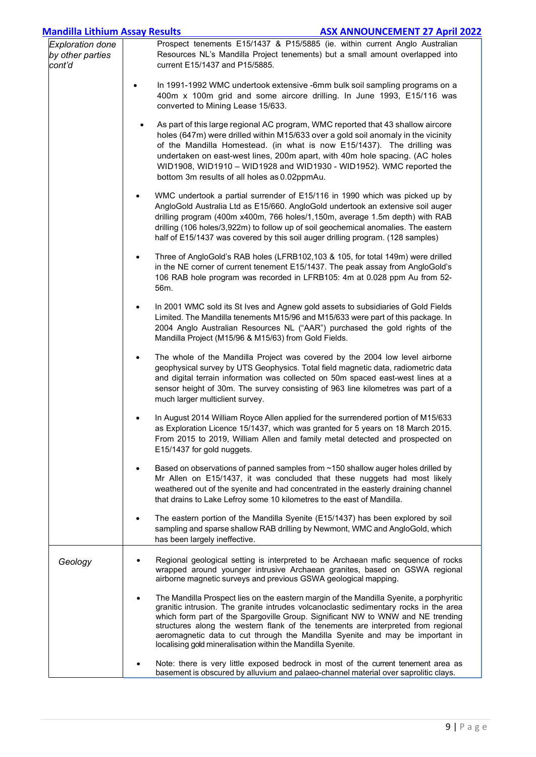| <b>Mandilla Lithium Assay Results</b>                 | <b>ASX ANNOUNCEMENT 27 April 2022</b>                                                                                                                                                                                                                                                                                                                                                                                                                                                                                 |
|-------------------------------------------------------|-----------------------------------------------------------------------------------------------------------------------------------------------------------------------------------------------------------------------------------------------------------------------------------------------------------------------------------------------------------------------------------------------------------------------------------------------------------------------------------------------------------------------|
| <b>Exploration done</b><br>by other parties<br>cont'd | Prospect tenements E15/1437 & P15/5885 (ie. within current Anglo Australian<br>Resources NL's Mandilla Project tenements) but a small amount overlapped into<br>current E15/1437 and P15/5885.                                                                                                                                                                                                                                                                                                                        |
|                                                       | In 1991-1992 WMC undertook extensive -6mm bulk soil sampling programs on a<br>400m x 100m grid and some aircore drilling. In June 1993, E15/116 was<br>converted to Mining Lease 15/633.                                                                                                                                                                                                                                                                                                                              |
|                                                       | As part of this large regional AC program, WMC reported that 43 shallow aircore<br>holes (647m) were drilled within M15/633 over a gold soil anomaly in the vicinity<br>of the Mandilla Homestead. (in what is now E15/1437). The drilling was<br>undertaken on east-west lines, 200m apart, with 40m hole spacing. (AC holes<br>WID1908, WID1910 - WID1928 and WID1930 - WID1952). WMC reported the<br>bottom 3m results of all holes as 0.02ppmAu.                                                                  |
|                                                       | WMC undertook a partial surrender of E15/116 in 1990 which was picked up by<br>$\bullet$<br>AngloGold Australia Ltd as E15/660. AngloGold undertook an extensive soil auger<br>drilling program (400m x400m, 766 holes/1,150m, average 1.5m depth) with RAB<br>drilling (106 holes/3,922m) to follow up of soil geochemical anomalies. The eastern<br>half of E15/1437 was covered by this soil auger drilling program. (128 samples)                                                                                 |
|                                                       | Three of AngloGold's RAB holes (LFRB102,103 & 105, for total 149m) were drilled<br>$\bullet$<br>in the NE corner of current tenement E15/1437. The peak assay from AngloGold's<br>106 RAB hole program was recorded in LFRB105: 4m at 0.028 ppm Au from 52-<br>56m.                                                                                                                                                                                                                                                   |
|                                                       | In 2001 WMC sold its St Ives and Agnew gold assets to subsidiaries of Gold Fields<br>$\bullet$<br>Limited. The Mandilla tenements M15/96 and M15/633 were part of this package. In<br>2004 Anglo Australian Resources NL ("AAR") purchased the gold rights of the<br>Mandilla Project (M15/96 & M15/63) from Gold Fields.                                                                                                                                                                                             |
|                                                       | The whole of the Mandilla Project was covered by the 2004 low level airborne<br>$\bullet$<br>geophysical survey by UTS Geophysics. Total field magnetic data, radiometric data<br>and digital terrain information was collected on 50m spaced east-west lines at a<br>sensor height of 30m. The survey consisting of 963 line kilometres was part of a<br>much larger multiclient survey.                                                                                                                             |
|                                                       | In August 2014 William Royce Allen applied for the surrendered portion of M15/633<br>as Exploration Licence 15/1437, which was granted for 5 years on 18 March 2015.<br>From 2015 to 2019, William Allen and family metal detected and prospected on<br>E15/1437 for gold nuggets.                                                                                                                                                                                                                                    |
|                                                       | Based on observations of panned samples from ~150 shallow auger holes drilled by<br>Mr Allen on E15/1437, it was concluded that these nuggets had most likely<br>weathered out of the syenite and had concentrated in the easterly draining channel<br>that drains to Lake Lefroy some 10 kilometres to the east of Mandilla.                                                                                                                                                                                         |
|                                                       | The eastern portion of the Mandilla Syenite (E15/1437) has been explored by soil<br>$\bullet$<br>sampling and sparse shallow RAB drilling by Newmont, WMC and AngloGold, which<br>has been largely ineffective.                                                                                                                                                                                                                                                                                                       |
| Geology                                               | Regional geological setting is interpreted to be Archaean mafic sequence of rocks<br>wrapped around younger intrusive Archaean granites, based on GSWA regional<br>airborne magnetic surveys and previous GSWA geological mapping.                                                                                                                                                                                                                                                                                    |
|                                                       | The Mandilla Prospect lies on the eastern margin of the Mandilla Syenite, a porphyritic<br>$\bullet$<br>granitic intrusion. The granite intrudes volcanoclastic sedimentary rocks in the area<br>which form part of the Spargoville Group. Significant NW to WNW and NE trending<br>structures along the western flank of the tenements are interpreted from regional<br>aeromagnetic data to cut through the Mandilla Syenite and may be important in<br>localising gold mineralisation within the Mandilla Syenite. |
|                                                       | Note: there is very little exposed bedrock in most of the current tenement area as<br>basement is obscured by alluvium and palaeo-channel material over saprolitic clays.                                                                                                                                                                                                                                                                                                                                             |